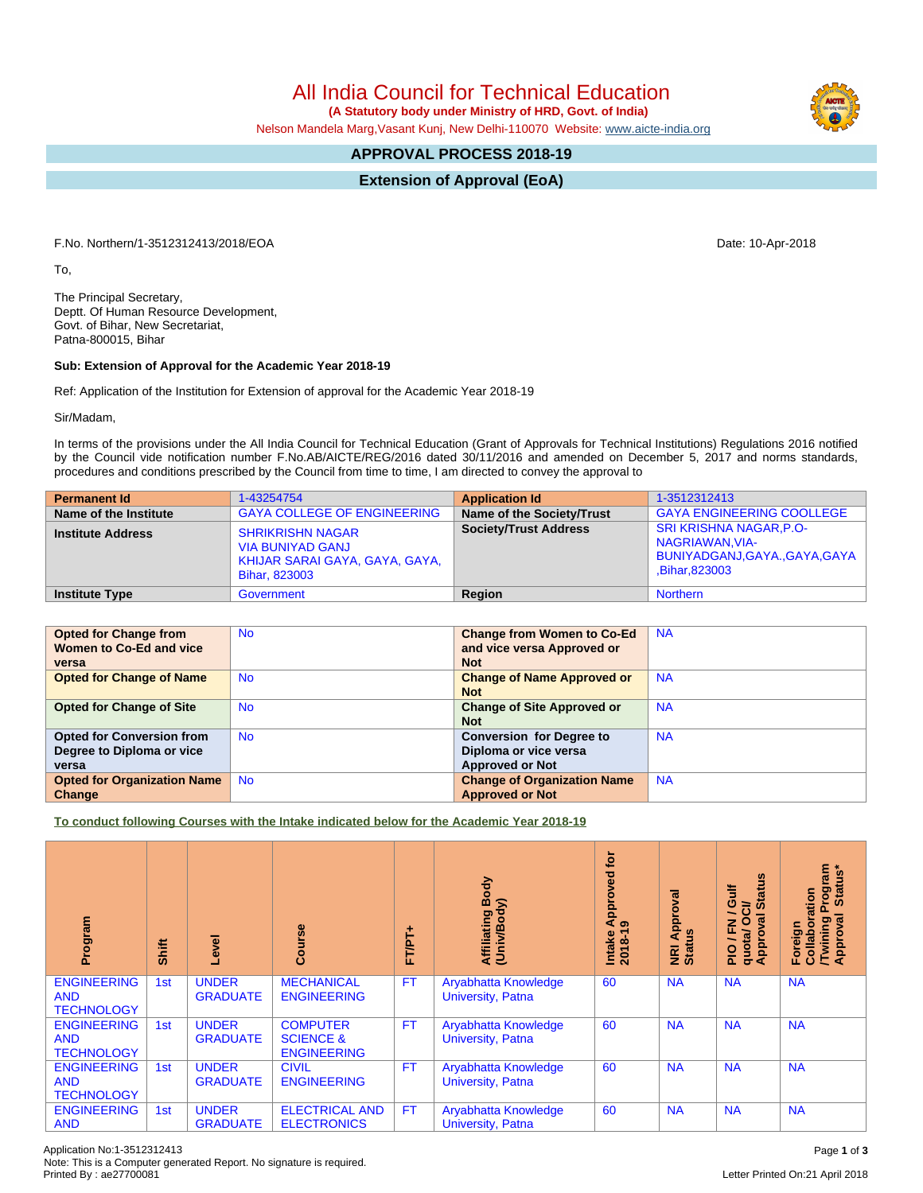All India Council for Technical Education

 **(A Statutory body under Ministry of HRD, Govt. of India)**

Nelson Mandela Marg,Vasant Kunj, New Delhi-110070 Website: [www.aicte-india.org](http://www.aicte-india.org)

## **APPROVAL PROCESS 2018-19**

**Extension of Approval (EoA)**

F.No. Northern/1-3512312413/2018/EOA Date: 10-Apr-2018

To,

The Principal Secretary, Deptt. Of Human Resource Development, Govt. of Bihar, New Secretariat, Patna-800015, Bihar

## **Sub: Extension of Approval for the Academic Year 2018-19**

Ref: Application of the Institution for Extension of approval for the Academic Year 2018-19

Sir/Madam,

In terms of the provisions under the All India Council for Technical Education (Grant of Approvals for Technical Institutions) Regulations 2016 notified by the Council vide notification number F.No.AB/AICTE/REG/2016 dated 30/11/2016 and amended on December 5, 2017 and norms standards, procedures and conditions prescribed by the Council from time to time, I am directed to convey the approval to

| <b>Permanent Id</b>      | 1-43254754                                                                                                   | <b>Application Id</b>        | 1-3512312413                                                                                            |
|--------------------------|--------------------------------------------------------------------------------------------------------------|------------------------------|---------------------------------------------------------------------------------------------------------|
| Name of the Institute    | <b>GAYA COLLEGE OF ENGINEERING</b>                                                                           | Name of the Society/Trust    | <b>GAYA ENGINEERING COOLLEGE</b>                                                                        |
| <b>Institute Address</b> | <b>SHRIKRISHN NAGAR</b><br><b>VIA BUNIYAD GANJ</b><br>KHIJAR SARAI GAYA, GAYA, GAYA,<br><b>Bihar, 823003</b> | <b>Society/Trust Address</b> | <b>SRI KRISHNA NAGAR, P.O-</b><br>NAGRIAWAN, VIA-<br>BUNIYADGANJ, GAYA., GAYA, GAYA  <br>Bihar, 823003, |
| <b>Institute Type</b>    | Government                                                                                                   | Region                       | <b>Northern</b>                                                                                         |

| <b>Opted for Change from</b>       | <b>No</b> | <b>Change from Women to Co-Ed</b>  | <b>NA</b> |
|------------------------------------|-----------|------------------------------------|-----------|
| Women to Co-Ed and vice            |           | and vice versa Approved or         |           |
| versa                              |           | <b>Not</b>                         |           |
| <b>Opted for Change of Name</b>    | <b>No</b> | <b>Change of Name Approved or</b>  | <b>NA</b> |
|                                    |           | <b>Not</b>                         |           |
| <b>Opted for Change of Site</b>    | <b>No</b> | <b>Change of Site Approved or</b>  | <b>NA</b> |
|                                    |           | <b>Not</b>                         |           |
| <b>Opted for Conversion from</b>   | <b>No</b> | <b>Conversion for Degree to</b>    | <b>NA</b> |
| Degree to Diploma or vice          |           | Diploma or vice versa              |           |
| versa                              |           | <b>Approved or Not</b>             |           |
| <b>Opted for Organization Name</b> | <b>No</b> | <b>Change of Organization Name</b> | <b>NA</b> |
| Change                             |           | <b>Approved or Not</b>             |           |

**To conduct following Courses with the Intake indicated below for the Academic Year 2018-19**

| Program                                               | Shift | Level                           | rse<br>යි                                                     | FT/PT+    | Affiliating Body<br>(Univ/Body)                  | tor<br>Approved<br>െ<br>$2018 - 19$<br>Intake | Approval<br><b>NRI Ap<br/>Status</b> | <b>Status</b><br>₹<br>ဖ<br>$\vec{c}$<br>∽<br>0<br>ξÅ<br>준<br>quotal<br>Approv<br>۰.<br>$\frac{1}{2}$ | Program<br>Status*<br>boration<br>Approval<br>Twining<br>Foreign<br>Collal |
|-------------------------------------------------------|-------|---------------------------------|---------------------------------------------------------------|-----------|--------------------------------------------------|-----------------------------------------------|--------------------------------------|------------------------------------------------------------------------------------------------------|----------------------------------------------------------------------------|
| <b>ENGINEERING</b><br><b>AND</b><br><b>TECHNOLOGY</b> | 1st   | <b>UNDER</b><br><b>GRADUATE</b> | <b>MECHANICAL</b><br><b>ENGINEERING</b>                       | <b>FT</b> | Aryabhatta Knowledge<br>University, Patna        | 60                                            | <b>NA</b>                            | <b>NA</b>                                                                                            | <b>NA</b>                                                                  |
| <b>ENGINEERING</b><br><b>AND</b><br><b>TECHNOLOGY</b> | 1st   | <b>UNDER</b><br><b>GRADUATE</b> | <b>COMPUTER</b><br><b>SCIENCE &amp;</b><br><b>ENGINEERING</b> | <b>FT</b> | Aryabhatta Knowledge<br><b>University, Patna</b> | 60                                            | <b>NA</b>                            | <b>NA</b>                                                                                            | <b>NA</b>                                                                  |
| <b>ENGINEERING</b><br><b>AND</b><br><b>TECHNOLOGY</b> | 1st   | <b>UNDER</b><br><b>GRADUATE</b> | <b>CIVIL</b><br><b>ENGINEERING</b>                            | <b>FT</b> | Aryabhatta Knowledge<br><b>University, Patna</b> | 60                                            | <b>NA</b>                            | <b>NA</b>                                                                                            | <b>NA</b>                                                                  |
| <b>ENGINEERING</b><br><b>AND</b>                      | 1st   | <b>UNDER</b><br><b>GRADUATE</b> | <b>ELECTRICAL AND</b><br><b>ELECTRONICS</b>                   | <b>FT</b> | Aryabhatta Knowledge<br>University, Patna        | 60                                            | <b>NA</b>                            | <b>NA</b>                                                                                            | <b>NA</b>                                                                  |

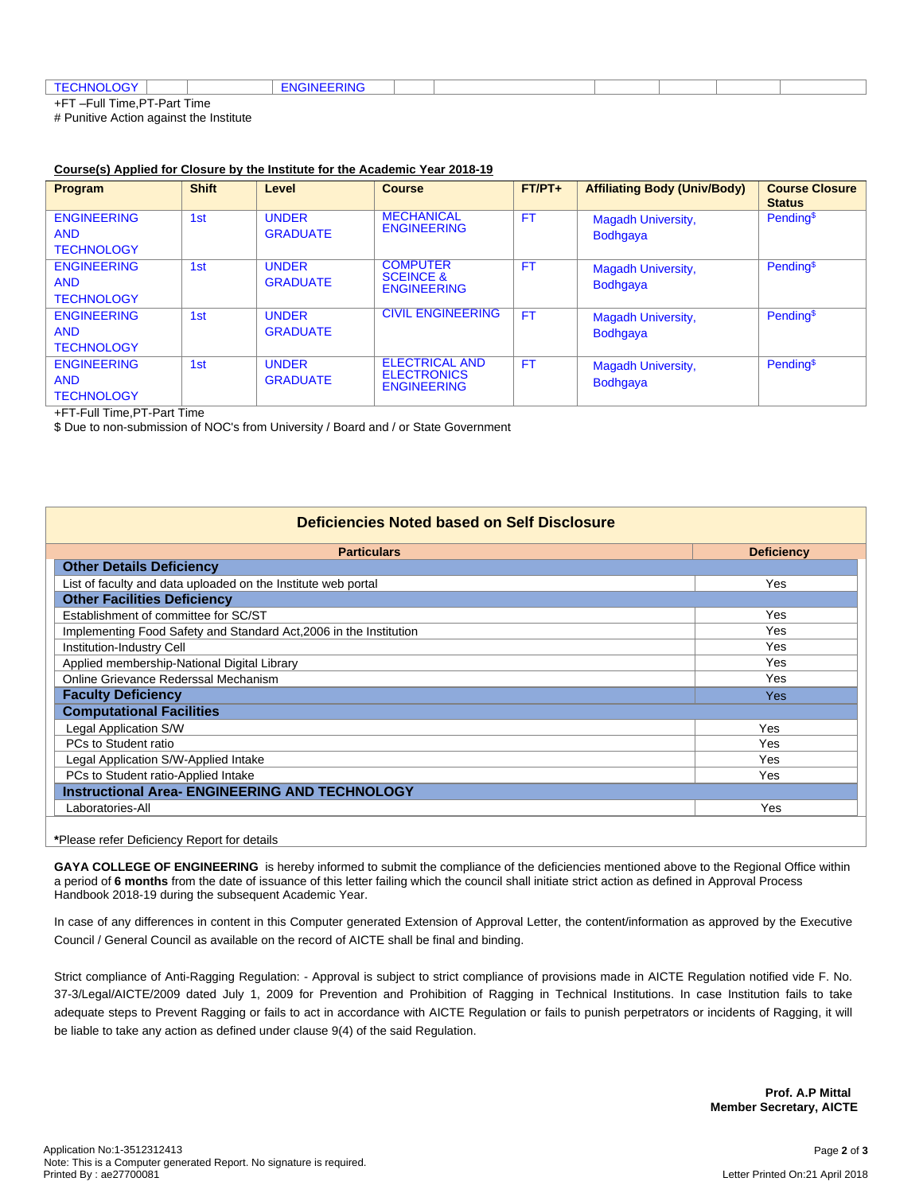| ⊤⊏≀<br>. . <del>. .</del>   |  |  |  |  |  |  |  |
|-----------------------------|--|--|--|--|--|--|--|
| E<br>Eull Time DT Dert Time |  |  |  |  |  |  |  |

+FT –Full Time,PT-Part Time

# Punitive Action against the Institute

## **Course(s) Applied for Closure by the Institute for the Academic Year 2018-19**

| Program                                               | <b>Shift</b>    | Level                           | <b>Course</b>                                                     | $FT/PT+$  | <b>Affiliating Body (Univ/Body)</b>          | <b>Course Closure</b><br><b>Status</b> |
|-------------------------------------------------------|-----------------|---------------------------------|-------------------------------------------------------------------|-----------|----------------------------------------------|----------------------------------------|
| <b>ENGINEERING</b><br><b>AND</b><br><b>TECHNOLOGY</b> | 1st             | <b>UNDER</b><br><b>GRADUATE</b> | <b>MECHANICAL</b><br><b>ENGINEERING</b>                           | <b>FT</b> | <b>Magadh University,</b><br><b>Bodhqaya</b> | Pending <sup>\$</sup>                  |
| <b>ENGINEERING</b><br><b>AND</b><br><b>TECHNOLOGY</b> | 1 <sub>st</sub> | <b>UNDER</b><br><b>GRADUATE</b> | <b>COMPUTER</b><br><b>SCEINCE &amp;</b><br><b>ENGINEERING</b>     | <b>FT</b> | <b>Magadh University,</b><br><b>Bodhqaya</b> | Pending <sup>\$</sup>                  |
| <b>ENGINEERING</b><br><b>AND</b><br><b>TECHNOLOGY</b> | 1 <sub>st</sub> | <b>UNDER</b><br><b>GRADUATE</b> | <b>CIVIL ENGINEERING</b>                                          | <b>FT</b> | <b>Magadh University,</b><br><b>Bodhqaya</b> | Pending <sup>\$</sup>                  |
| <b>ENGINEERING</b><br><b>AND</b><br><b>TECHNOLOGY</b> | 1 <sub>st</sub> | <b>UNDER</b><br><b>GRADUATE</b> | <b>ELECTRICAL AND</b><br><b>ELECTRONICS</b><br><b>ENGINEERING</b> | <b>FT</b> | <b>Magadh University,</b><br><b>Bodhgaya</b> | Pending <sup>\$</sup>                  |

+FT-Full Time,PT-Part Time

\$ Due to non-submission of NOC's from University / Board and / or State Government

| <b>Deficiencies Noted based on Self Disclosure</b>                 |                   |  |  |  |
|--------------------------------------------------------------------|-------------------|--|--|--|
| <b>Particulars</b>                                                 | <b>Deficiency</b> |  |  |  |
| <b>Other Details Deficiency</b>                                    |                   |  |  |  |
| List of faculty and data uploaded on the Institute web portal      | Yes               |  |  |  |
| <b>Other Facilities Deficiency</b>                                 |                   |  |  |  |
| Establishment of committee for SC/ST                               | Yes               |  |  |  |
| Implementing Food Safety and Standard Act, 2006 in the Institution | <b>Yes</b>        |  |  |  |
| Institution-Industry Cell                                          | Yes               |  |  |  |
| Applied membership-National Digital Library                        | Yes               |  |  |  |
| Online Grievance Rederssal Mechanism                               | <b>Yes</b>        |  |  |  |
| <b>Faculty Deficiency</b>                                          | <b>Yes</b>        |  |  |  |
| <b>Computational Facilities</b>                                    |                   |  |  |  |
| Legal Application S/W                                              | Yes               |  |  |  |
| PCs to Student ratio                                               | Yes               |  |  |  |
| Legal Application S/W-Applied Intake                               | Yes               |  |  |  |
| PCs to Student ratio-Applied Intake                                | Yes               |  |  |  |
| <b>Instructional Area- ENGINEERING AND TECHNOLOGY</b>              |                   |  |  |  |
| Laboratories-All                                                   | Yes               |  |  |  |

**\***Please refer Deficiency Report for details

**GAYA COLLEGE OF ENGINEERING** is hereby informed to submit the compliance of the deficiencies mentioned above to the Regional Office within a period of **6 months** from the date of issuance of this letter failing which the council shall initiate strict action as defined in Approval Process Handbook 2018-19 during the subsequent Academic Year.

In case of any differences in content in this Computer generated Extension of Approval Letter, the content/information as approved by the Executive Council / General Council as available on the record of AICTE shall be final and binding.

Strict compliance of Anti-Ragging Regulation: - Approval is subject to strict compliance of provisions made in AICTE Regulation notified vide F. No. 37-3/Legal/AICTE/2009 dated July 1, 2009 for Prevention and Prohibition of Ragging in Technical Institutions. In case Institution fails to take adequate steps to Prevent Ragging or fails to act in accordance with AICTE Regulation or fails to punish perpetrators or incidents of Ragging, it will be liable to take any action as defined under clause 9(4) of the said Regulation.

> **Prof. A.P Mittal Member Secretary, AICTE**